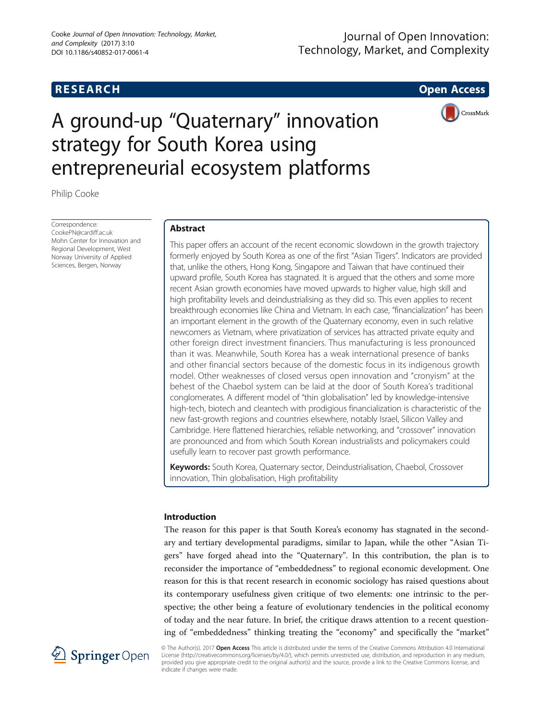# **RESEARCH RESEARCH CONSUMING ACCESS**

# Journal of Open Innovation: Technology, Market, and Complexity



# A ground-up "Quaternary" innovation strategy for South Korea using entrepreneurial ecosystem platforms

Philip Cooke

Correspondence: [CookePN@cardiff.ac.uk](mailto:CookePN@cardiff.ac.uk) Mohn Center for Innovation and Regional Development, West Norway University of Applied Sciences, Bergen, Norway

# Abstract

This paper offers an account of the recent economic slowdown in the growth trajectory formerly enjoyed by South Korea as one of the first "Asian Tigers". Indicators are provided that, unlike the others, Hong Kong, Singapore and Taiwan that have continued their upward profile, South Korea has stagnated. It is argued that the others and some more recent Asian growth economies have moved upwards to higher value, high skill and high profitability levels and deindustrialising as they did so. This even applies to recent breakthrough economies like China and Vietnam. In each case, "financialization" has been an important element in the growth of the Quaternary economy, even in such relative newcomers as Vietnam, where privatization of services has attracted private equity and other foreign direct investment financiers. Thus manufacturing is less pronounced than it was. Meanwhile, South Korea has a weak international presence of banks and other financial sectors because of the domestic focus in its indigenous growth model. Other weaknesses of closed versus open innovation and "cronyism" at the behest of the Chaebol system can be laid at the door of South Korea's traditional conglomerates. A different model of "thin globalisation" led by knowledge-intensive high-tech, biotech and cleantech with prodigious financialization is characteristic of the new fast-growth regions and countries elsewhere, notably Israel, Silicon Valley and Cambridge. Here flattened hierarchies, reliable networking, and "crossover" innovation are pronounced and from which South Korean industrialists and policymakers could usefully learn to recover past growth performance.

Keywords: South Korea, Quaternary sector, Deindustrialisation, Chaebol, Crossover innovation, Thin globalisation, High profitability

## Introduction

The reason for this paper is that South Korea's economy has stagnated in the secondary and tertiary developmental paradigms, similar to Japan, while the other "Asian Tigers" have forged ahead into the "Quaternary". In this contribution, the plan is to reconsider the importance of "embeddedness" to regional economic development. One reason for this is that recent research in economic sociology has raised questions about its contemporary usefulness given critique of two elements: one intrinsic to the perspective; the other being a feature of evolutionary tendencies in the political economy of today and the near future. In brief, the critique draws attention to a recent questioning of "embeddedness" thinking treating the "economy" and specifically the "market"



© The Author(s). 2017 Open Access This article is distributed under the terms of the Creative Commons Attribution 4.0 International License [\(http://creativecommons.org/licenses/by/4.0/](http://creativecommons.org/licenses/by/4.0/)), which permits unrestricted use, distribution, and reproduction in any medium, provided you give appropriate credit to the original author(s) and the source, provide a link to the Creative Commons license, and indicate if changes were made.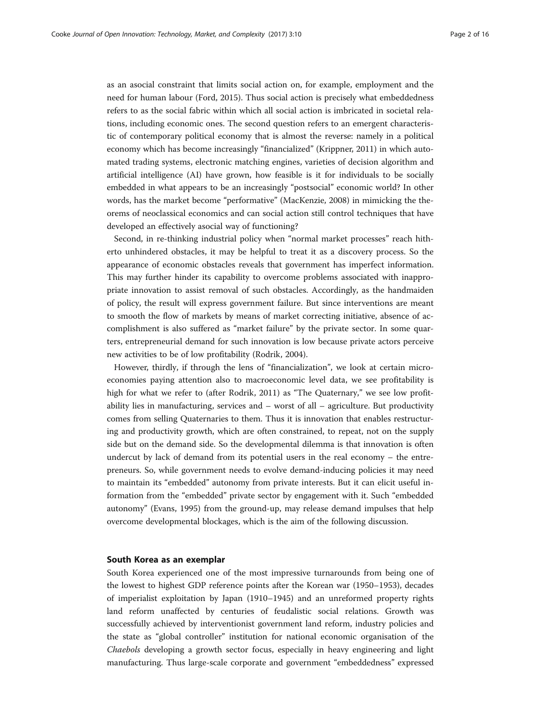as an asocial constraint that limits social action on, for example, employment and the need for human labour (Ford, [2015](#page-14-0)). Thus social action is precisely what embeddedness refers to as the social fabric within which all social action is imbricated in societal relations, including economic ones. The second question refers to an emergent characteristic of contemporary political economy that is almost the reverse: namely in a political economy which has become increasingly "financialized" (Krippner, [2011\)](#page-15-0) in which automated trading systems, electronic matching engines, varieties of decision algorithm and artificial intelligence (AI) have grown, how feasible is it for individuals to be socially embedded in what appears to be an increasingly "postsocial" economic world? In other words, has the market become "performative" (MacKenzie, [2008\)](#page-15-0) in mimicking the theorems of neoclassical economics and can social action still control techniques that have developed an effectively asocial way of functioning?

Second, in re-thinking industrial policy when "normal market processes" reach hitherto unhindered obstacles, it may be helpful to treat it as a discovery process. So the appearance of economic obstacles reveals that government has imperfect information. This may further hinder its capability to overcome problems associated with inappropriate innovation to assist removal of such obstacles. Accordingly, as the handmaiden of policy, the result will express government failure. But since interventions are meant to smooth the flow of markets by means of market correcting initiative, absence of accomplishment is also suffered as "market failure" by the private sector. In some quarters, entrepreneurial demand for such innovation is low because private actors perceive new activities to be of low profitability (Rodrik, [2004\)](#page-15-0).

However, thirdly, if through the lens of "financialization", we look at certain microeconomies paying attention also to macroeconomic level data, we see profitability is high for what we refer to (after Rodrik, [2011](#page-15-0)) as "The Quaternary," we see low profitability lies in manufacturing, services and – worst of all – agriculture. But productivity comes from selling Quaternaries to them. Thus it is innovation that enables restructuring and productivity growth, which are often constrained, to repeat, not on the supply side but on the demand side. So the developmental dilemma is that innovation is often undercut by lack of demand from its potential users in the real economy – the entrepreneurs. So, while government needs to evolve demand-inducing policies it may need to maintain its "embedded" autonomy from private interests. But it can elicit useful information from the "embedded" private sector by engagement with it. Such "embedded autonomy" (Evans, [1995\)](#page-14-0) from the ground-up, may release demand impulses that help overcome developmental blockages, which is the aim of the following discussion.

#### South Korea as an exemplar

South Korea experienced one of the most impressive turnarounds from being one of the lowest to highest GDP reference points after the Korean war (1950–1953), decades of imperialist exploitation by Japan (1910–1945) and an unreformed property rights land reform unaffected by centuries of feudalistic social relations. Growth was successfully achieved by interventionist government land reform, industry policies and the state as "global controller" institution for national economic organisation of the Chaebols developing a growth sector focus, especially in heavy engineering and light manufacturing. Thus large-scale corporate and government "embeddedness" expressed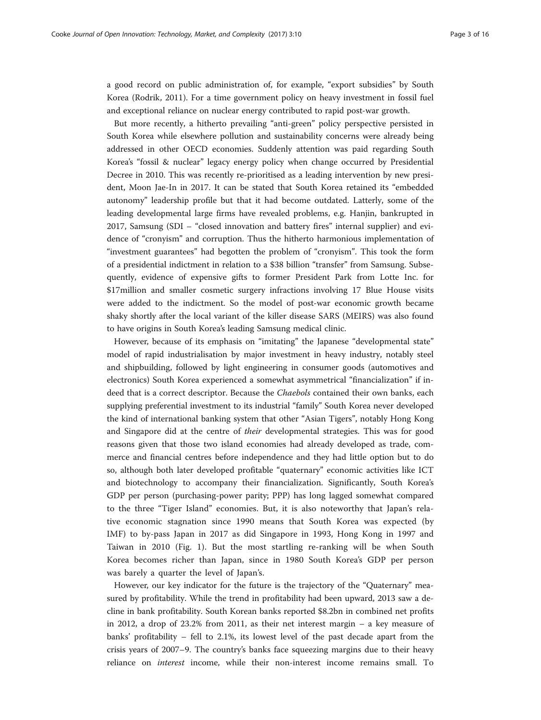a good record on public administration of, for example, "export subsidies" by South Korea (Rodrik, [2011\)](#page-15-0). For a time government policy on heavy investment in fossil fuel and exceptional reliance on nuclear energy contributed to rapid post-war growth.

But more recently, a hitherto prevailing "anti-green" policy perspective persisted in South Korea while elsewhere pollution and sustainability concerns were already being addressed in other OECD economies. Suddenly attention was paid regarding South Korea's "fossil & nuclear" legacy energy policy when change occurred by Presidential Decree in 2010. This was recently re-prioritised as a leading intervention by new president, Moon Jae-In in 2017. It can be stated that South Korea retained its "embedded autonomy" leadership profile but that it had become outdated. Latterly, some of the leading developmental large firms have revealed problems, e.g. Hanjin, bankrupted in 2017, Samsung (SDI – "closed innovation and battery fires" internal supplier) and evidence of "cronyism" and corruption. Thus the hitherto harmonious implementation of "investment guarantees" had begotten the problem of "cronyism". This took the form of a presidential indictment in relation to a \$38 billion "transfer" from Samsung. Subsequently, evidence of expensive gifts to former President Park from Lotte Inc. for \$17million and smaller cosmetic surgery infractions involving 17 Blue House visits were added to the indictment. So the model of post-war economic growth became shaky shortly after the local variant of the killer disease SARS (MEIRS) was also found to have origins in South Korea's leading Samsung medical clinic.

However, because of its emphasis on "imitating" the Japanese "developmental state" model of rapid industrialisation by major investment in heavy industry, notably steel and shipbuilding, followed by light engineering in consumer goods (automotives and electronics) South Korea experienced a somewhat asymmetrical "financialization" if indeed that is a correct descriptor. Because the Chaebols contained their own banks, each supplying preferential investment to its industrial "family" South Korea never developed the kind of international banking system that other "Asian Tigers", notably Hong Kong and Singapore did at the centre of their developmental strategies. This was for good reasons given that those two island economies had already developed as trade, commerce and financial centres before independence and they had little option but to do so, although both later developed profitable "quaternary" economic activities like ICT and biotechnology to accompany their financialization. Significantly, South Korea's GDP per person (purchasing-power parity; PPP) has long lagged somewhat compared to the three "Tiger Island" economies. But, it is also noteworthy that Japan's relative economic stagnation since 1990 means that South Korea was expected (by IMF) to by-pass Japan in 2017 as did Singapore in 1993, Hong Kong in 1997 and Taiwan in 2010 (Fig. [1](#page-3-0)). But the most startling re-ranking will be when South Korea becomes richer than Japan, since in 1980 South Korea's GDP per person was barely a quarter the level of Japan's.

However, our key indicator for the future is the trajectory of the "Quaternary" measured by profitability. While the trend in profitability had been upward, 2013 saw a decline in bank profitability. South Korean banks reported \$8.2bn in combined net profits in 2012, a drop of 23.2% from 2011, as their net interest margin – a key measure of banks' profitability – fell to 2.1%, its lowest level of the past decade apart from the crisis years of 2007–9. The country's banks face squeezing margins due to their heavy reliance on interest income, while their non-interest income remains small. To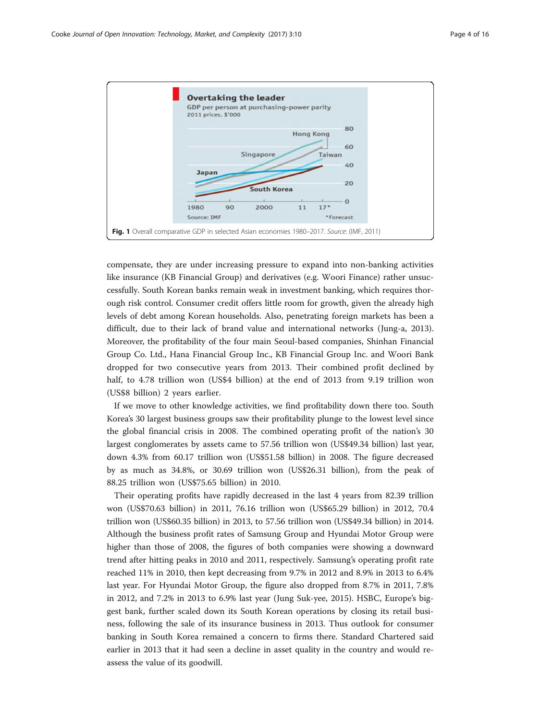<span id="page-3-0"></span>

compensate, they are under increasing pressure to expand into non-banking activities like insurance (KB Financial Group) and derivatives (e.g. Woori Finance) rather unsuccessfully. South Korean banks remain weak in investment banking, which requires thorough risk control. Consumer credit offers little room for growth, given the already high levels of debt among Korean households. Also, penetrating foreign markets has been a difficult, due to their lack of brand value and international networks (Jung-a, [2013](#page-15-0)). Moreover, the profitability of the four main Seoul-based companies, Shinhan Financial Group Co. Ltd., Hana Financial Group Inc., KB Financial Group Inc. and Woori Bank dropped for two consecutive years from 2013. Their combined profit declined by half, to 4.78 trillion won (US\$4 billion) at the end of 2013 from 9.19 trillion won (US\$8 billion) 2 years earlier.

If we move to other knowledge activities, we find profitability down there too. South Korea's 30 largest business groups saw their profitability plunge to the lowest level since the global financial crisis in 2008. The combined operating profit of the nation's 30 largest conglomerates by assets came to 57.56 trillion won (US\$49.34 billion) last year, down 4.3% from 60.17 trillion won (US\$51.58 billion) in 2008. The figure decreased by as much as 34.8%, or 30.69 trillion won (US\$26.31 billion), from the peak of 88.25 trillion won (US\$75.65 billion) in 2010.

Their operating profits have rapidly decreased in the last 4 years from 82.39 trillion won (US\$70.63 billion) in 2011, 76.16 trillion won (US\$65.29 billion) in 2012, 70.4 trillion won (US\$60.35 billion) in 2013, to 57.56 trillion won (US\$49.34 billion) in 2014. Although the business profit rates of Samsung Group and Hyundai Motor Group were higher than those of 2008, the figures of both companies were showing a downward trend after hitting peaks in 2010 and 2011, respectively. Samsung's operating profit rate reached 11% in 2010, then kept decreasing from 9.7% in 2012 and 8.9% in 2013 to 6.4% last year. For Hyundai Motor Group, the figure also dropped from 8.7% in 2011, 7.8% in 2012, and 7.2% in 2013 to 6.9% last year (Jung Suk-yee, [2015](#page-15-0)). HSBC, Europe's biggest bank, further scaled down its South Korean operations by closing its retail business, following the sale of its insurance business in 2013. Thus outlook for consumer banking in South Korea remained a concern to firms there. Standard Chartered said earlier in 2013 that it had seen a decline in asset quality in the country and would reassess the value of its goodwill.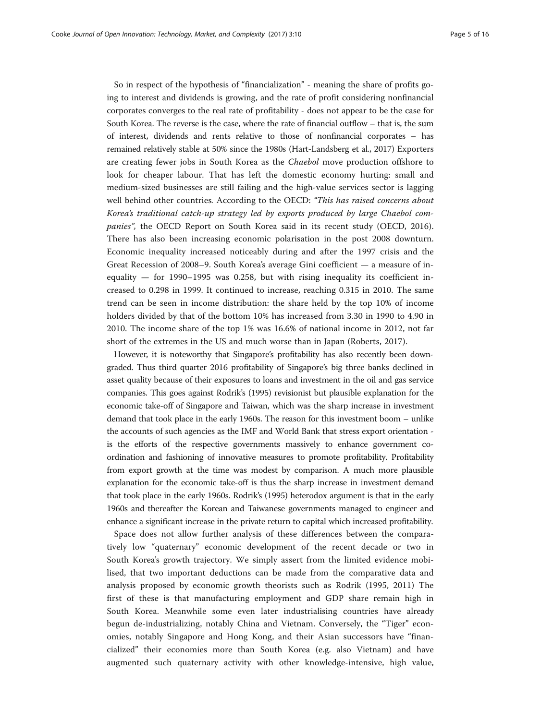So in respect of the hypothesis of "financialization" - meaning the share of profits going to interest and dividends is growing, and the rate of profit considering nonfinancial corporates converges to the real rate of profitability - does not appear to be the case for South Korea. The reverse is the case, where the rate of financial outflow – that is, the sum of interest, dividends and rents relative to those of nonfinancial corporates – has remained relatively stable at 50% since the 1980s (Hart-Landsberg et al., [2017](#page-15-0)) Exporters are creating fewer jobs in South Korea as the Chaebol move production offshore to look for cheaper labour. That has left the domestic economy hurting: small and medium-sized businesses are still failing and the high-value services sector is lagging well behind other countries. According to the OECD: "This has raised concerns about Korea's traditional catch-up strategy led by exports produced by large Chaebol com-panies", the OECD Report on South Korea said in its recent study (OECD, [2016](#page-15-0)). There has also been increasing economic polarisation in the post 2008 downturn. Economic inequality increased noticeably during and after the 1997 crisis and the Great Recession of 2008–9. South Korea's average Gini coefficient — a measure of inequality — for  $1990-1995$  was 0.258, but with rising inequality its coefficient increased to 0.298 in 1999. It continued to increase, reaching 0.315 in 2010. The same trend can be seen in income distribution: the share held by the top 10% of income holders divided by that of the bottom 10% has increased from 3.30 in 1990 to 4.90 in 2010. The income share of the top 1% was 16.6% of national income in 2012, not far short of the extremes in the US and much worse than in Japan (Roberts, [2017](#page-15-0)).

However, it is noteworthy that Singapore's profitability has also recently been downgraded. Thus third quarter 2016 profitability of Singapore's big three banks declined in asset quality because of their exposures to loans and investment in the oil and gas service companies. This goes against Rodrik's ([1995\)](#page-15-0) revisionist but plausible explanation for the economic take-off of Singapore and Taiwan, which was the sharp increase in investment demand that took place in the early 1960s. The reason for this investment boom – unlike the accounts of such agencies as the IMF and World Bank that stress export orientation is the efforts of the respective governments massively to enhance government coordination and fashioning of innovative measures to promote profitability. Profitability from export growth at the time was modest by comparison. A much more plausible explanation for the economic take-off is thus the sharp increase in investment demand that took place in the early 1960s. Rodrik's ([1995\)](#page-15-0) heterodox argument is that in the early 1960s and thereafter the Korean and Taiwanese governments managed to engineer and enhance a significant increase in the private return to capital which increased profitability.

Space does not allow further analysis of these differences between the comparatively low "quaternary" economic development of the recent decade or two in South Korea's growth trajectory. We simply assert from the limited evidence mobilised, that two important deductions can be made from the comparative data and analysis proposed by economic growth theorists such as Rodrik ([1995](#page-15-0), [2011](#page-15-0)) The first of these is that manufacturing employment and GDP share remain high in South Korea. Meanwhile some even later industrialising countries have already begun de-industrializing, notably China and Vietnam. Conversely, the "Tiger" economies, notably Singapore and Hong Kong, and their Asian successors have "financialized" their economies more than South Korea (e.g. also Vietnam) and have augmented such quaternary activity with other knowledge-intensive, high value,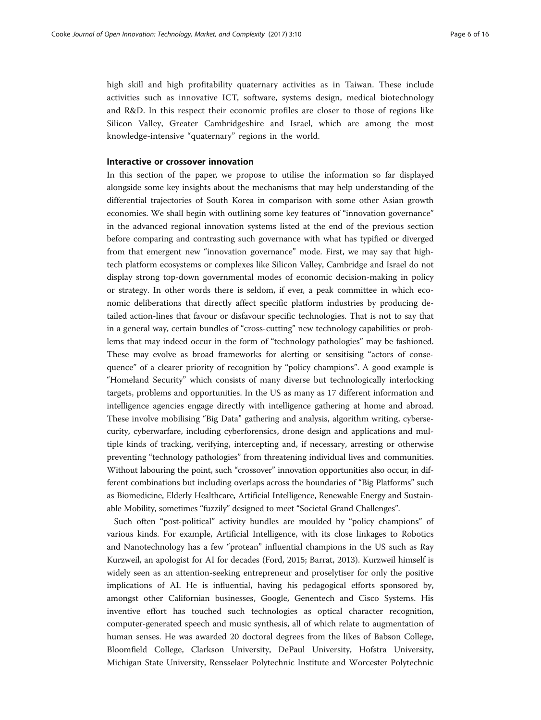high skill and high profitability quaternary activities as in Taiwan. These include activities such as innovative ICT, software, systems design, medical biotechnology and R&D. In this respect their economic profiles are closer to those of regions like Silicon Valley, Greater Cambridgeshire and Israel, which are among the most knowledge-intensive "quaternary" regions in the world.

#### Interactive or crossover innovation

In this section of the paper, we propose to utilise the information so far displayed alongside some key insights about the mechanisms that may help understanding of the differential trajectories of South Korea in comparison with some other Asian growth economies. We shall begin with outlining some key features of "innovation governance" in the advanced regional innovation systems listed at the end of the previous section before comparing and contrasting such governance with what has typified or diverged from that emergent new "innovation governance" mode. First, we may say that hightech platform ecosystems or complexes like Silicon Valley, Cambridge and Israel do not display strong top-down governmental modes of economic decision-making in policy or strategy. In other words there is seldom, if ever, a peak committee in which economic deliberations that directly affect specific platform industries by producing detailed action-lines that favour or disfavour specific technologies. That is not to say that in a general way, certain bundles of "cross-cutting" new technology capabilities or problems that may indeed occur in the form of "technology pathologies" may be fashioned. These may evolve as broad frameworks for alerting or sensitising "actors of consequence" of a clearer priority of recognition by "policy champions". A good example is "Homeland Security" which consists of many diverse but technologically interlocking targets, problems and opportunities. In the US as many as 17 different information and intelligence agencies engage directly with intelligence gathering at home and abroad. These involve mobilising "Big Data" gathering and analysis, algorithm writing, cybersecurity, cyberwarfare, including cyberforensics, drone design and applications and multiple kinds of tracking, verifying, intercepting and, if necessary, arresting or otherwise preventing "technology pathologies" from threatening individual lives and communities. Without labouring the point, such "crossover" innovation opportunities also occur, in different combinations but including overlaps across the boundaries of "Big Platforms" such as Biomedicine, Elderly Healthcare, Artificial Intelligence, Renewable Energy and Sustainable Mobility, sometimes "fuzzily" designed to meet "Societal Grand Challenges".

Such often "post-political" activity bundles are moulded by "policy champions" of various kinds. For example, Artificial Intelligence, with its close linkages to Robotics and Nanotechnology has a few "protean" influential champions in the US such as Ray Kurzweil, an apologist for AI for decades (Ford, [2015;](#page-14-0) Barrat, [2013](#page-14-0)). Kurzweil himself is widely seen as an attention-seeking entrepreneur and proselytiser for only the positive implications of AI. He is influential, having his pedagogical efforts sponsored by, amongst other Californian businesses, Google, Genentech and Cisco Systems. His inventive effort has touched such technologies as optical character recognition, computer-generated speech and music synthesis, all of which relate to augmentation of human senses. He was awarded 20 doctoral degrees from the likes of Babson College, Bloomfield College, Clarkson University, DePaul University, Hofstra University, Michigan State University, Rensselaer Polytechnic Institute and Worcester Polytechnic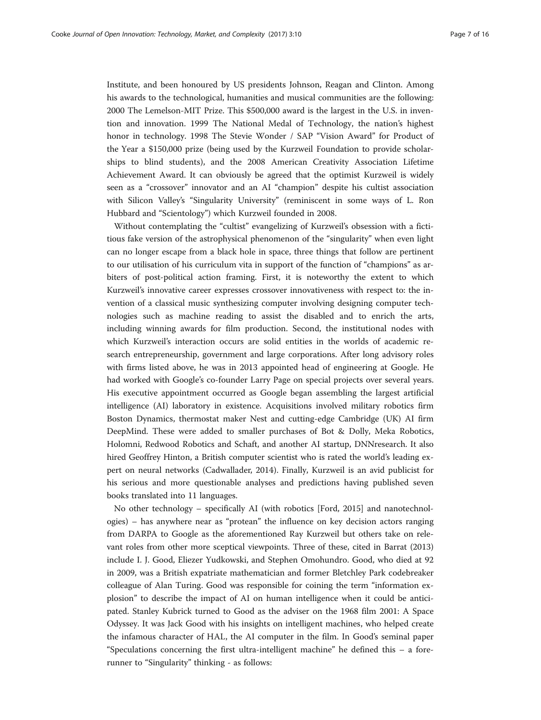Institute, and been honoured by US presidents Johnson, Reagan and Clinton. Among his awards to the technological, humanities and musical communities are the following: 2000 The Lemelson-MIT Prize. This \$500,000 award is the largest in the U.S. in invention and innovation. 1999 The National Medal of Technology, the nation's highest honor in technology. 1998 The Stevie Wonder / SAP "Vision Award" for Product of the Year a \$150,000 prize (being used by the Kurzweil Foundation to provide scholarships to blind students), and the 2008 American Creativity Association Lifetime Achievement Award. It can obviously be agreed that the optimist Kurzweil is widely seen as a "crossover" innovator and an AI "champion" despite his cultist association with Silicon Valley's "Singularity University" (reminiscent in some ways of L. Ron Hubbard and "Scientology") which Kurzweil founded in 2008.

Without contemplating the "cultist" evangelizing of Kurzweil's obsession with a fictitious fake version of the astrophysical phenomenon of the "singularity" when even light can no longer escape from a black hole in space, three things that follow are pertinent to our utilisation of his curriculum vita in support of the function of "champions" as arbiters of post-political action framing. First, it is noteworthy the extent to which Kurzweil's innovative career expresses crossover innovativeness with respect to: the invention of a classical music synthesizing computer involving designing computer technologies such as machine reading to assist the disabled and to enrich the arts, including winning awards for film production. Second, the institutional nodes with which Kurzweil's interaction occurs are solid entities in the worlds of academic research entrepreneurship, government and large corporations. After long advisory roles with firms listed above, he was in 2013 appointed head of engineering at Google. He had worked with Google's co-founder Larry Page on special projects over several years. His executive appointment occurred as Google began assembling the largest artificial intelligence (AI) laboratory in existence. Acquisitions involved military robotics firm Boston Dynamics, thermostat maker Nest and cutting-edge Cambridge (UK) AI firm DeepMind. These were added to smaller purchases of Bot & Dolly, Meka Robotics, Holomni, Redwood Robotics and Schaft, and another AI startup, DNNresearch. It also hired Geoffrey Hinton, a British computer scientist who is rated the world's leading expert on neural networks (Cadwallader, [2014](#page-14-0)). Finally, Kurzweil is an avid publicist for his serious and more questionable analyses and predictions having published seven books translated into 11 languages.

No other technology – specifically AI (with robotics [Ford, [2015](#page-14-0)] and nanotechnologies) – has anywhere near as "protean" the influence on key decision actors ranging from DARPA to Google as the aforementioned Ray Kurzweil but others take on relevant roles from other more sceptical viewpoints. Three of these, cited in Barrat ([2013](#page-14-0)) include I. J. Good, Eliezer Yudkowski, and Stephen Omohundro. Good, who died at 92 in 2009, was a British expatriate mathematician and former Bletchley Park codebreaker colleague of Alan Turing. Good was responsible for coining the term "information explosion" to describe the impact of AI on human intelligence when it could be anticipated. Stanley Kubrick turned to Good as the adviser on the 1968 film 2001: A Space Odyssey. It was Jack Good with his insights on intelligent machines, who helped create the infamous character of HAL, the AI computer in the film. In Good's seminal paper "Speculations concerning the first ultra-intelligent machine" he defined this – a forerunner to "Singularity" thinking - as follows: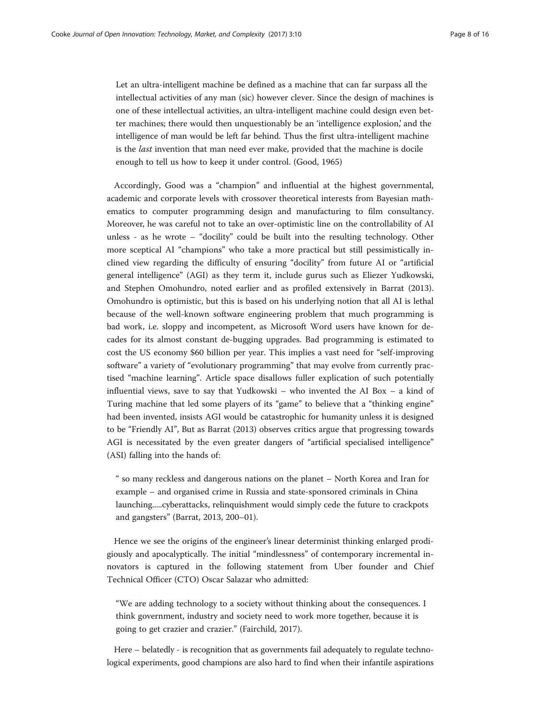Let an ultra-intelligent machine be defined as a machine that can far surpass all the intellectual activities of any man (sic) however clever. Since the design of machines is one of these intellectual activities, an ultra-intelligent machine could design even better machines; there would then unquestionably be an 'intelligence explosion,' and the intelligence of man would be left far behind. Thus the first ultra-intelligent machine is the last invention that man need ever make, provided that the machine is docile enough to tell us how to keep it under control. (Good, [1965\)](#page-15-0)

Accordingly, Good was a "champion" and influential at the highest governmental, academic and corporate levels with crossover theoretical interests from Bayesian mathematics to computer programming design and manufacturing to film consultancy. Moreover, he was careful not to take an over-optimistic line on the controllability of AI unless - as he wrote – "docility" could be built into the resulting technology. Other more sceptical AI "champions" who take a more practical but still pessimistically inclined view regarding the difficulty of ensuring "docility" from future AI or "artificial general intelligence" (AGI) as they term it, include gurus such as Eliezer Yudkowski, and Stephen Omohundro, noted earlier and as profiled extensively in Barrat ([2013](#page-14-0)). Omohundro is optimistic, but this is based on his underlying notion that all AI is lethal because of the well-known software engineering problem that much programming is bad work, i.e. sloppy and incompetent, as Microsoft Word users have known for decades for its almost constant de-bugging upgrades. Bad programming is estimated to cost the US economy \$60 billion per year. This implies a vast need for "self-improving software" a variety of "evolutionary programming" that may evolve from currently practised "machine learning". Article space disallows fuller explication of such potentially influential views, save to say that Yudkowski – who invented the AI Box – a kind of Turing machine that led some players of its "game" to believe that a "thinking engine" had been invented, insists AGI would be catastrophic for humanity unless it is designed to be "Friendly AI", But as Barrat ([2013](#page-14-0)) observes critics argue that progressing towards AGI is necessitated by the even greater dangers of "artificial specialised intelligence" (ASI) falling into the hands of:

" so many reckless and dangerous nations on the planet – North Korea and Iran for example – and organised crime in Russia and state-sponsored criminals in China launching.....cyberattacks, relinquishment would simply cede the future to crackpots and gangsters" (Barrat, [2013](#page-14-0), 200–01).

Hence we see the origins of the engineer's linear determinist thinking enlarged prodigiously and apocalyptically. The initial "mindlessness" of contemporary incremental innovators is captured in the following statement from Uber founder and Chief Technical Officer (CTO) Oscar Salazar who admitted:

"We are adding technology to a society without thinking about the consequences. I think government, industry and society need to work more together, because it is going to get crazier and crazier." (Fairchild, [2017](#page-14-0)).

Here – belatedly - is recognition that as governments fail adequately to regulate technological experiments, good champions are also hard to find when their infantile aspirations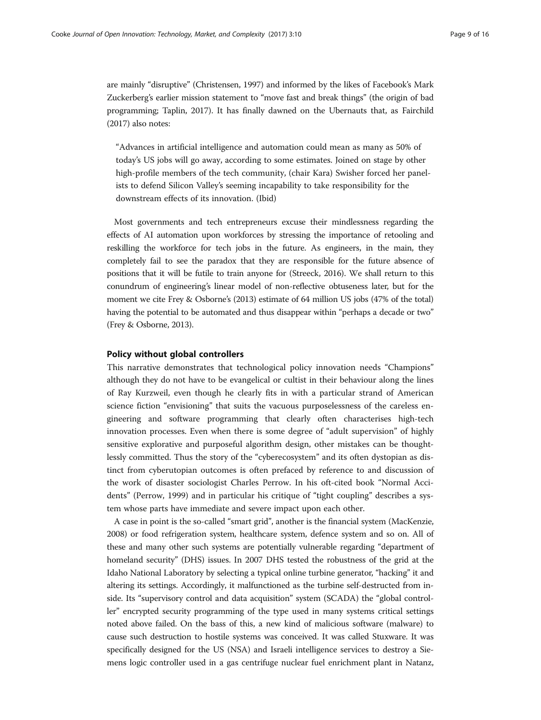are mainly "disruptive" (Christensen, [1997](#page-14-0)) and informed by the likes of Facebook's Mark Zuckerberg's earlier mission statement to "move fast and break things" (the origin of bad programming; Taplin, [2017\)](#page-15-0). It has finally dawned on the Ubernauts that, as Fairchild ([2017\)](#page-14-0) also notes:

"Advances in artificial intelligence and automation could mean as many as 50% of today's US jobs will go away, according to some estimates. Joined on stage by other high-profile members of the tech community, (chair Kara) Swisher forced her panelists to defend Silicon Valley's seeming incapability to take responsibility for the downstream effects of its innovation. (Ibid)

Most governments and tech entrepreneurs excuse their mindlessness regarding the effects of AI automation upon workforces by stressing the importance of retooling and reskilling the workforce for tech jobs in the future. As engineers, in the main, they completely fail to see the paradox that they are responsible for the future absence of positions that it will be futile to train anyone for (Streeck, [2016\)](#page-15-0). We shall return to this conundrum of engineering's linear model of non-reflective obtuseness later, but for the moment we cite Frey & Osborne's [\(2013](#page-14-0)) estimate of 64 million US jobs (47% of the total) having the potential to be automated and thus disappear within "perhaps a decade or two" (Frey & Osborne, [2013](#page-14-0)).

#### Policy without global controllers

This narrative demonstrates that technological policy innovation needs "Champions" although they do not have to be evangelical or cultist in their behaviour along the lines of Ray Kurzweil, even though he clearly fits in with a particular strand of American science fiction "envisioning" that suits the vacuous purposelessness of the careless engineering and software programming that clearly often characterises high-tech innovation processes. Even when there is some degree of "adult supervision" of highly sensitive explorative and purposeful algorithm design, other mistakes can be thoughtlessly committed. Thus the story of the "cyberecosystem" and its often dystopian as distinct from cyberutopian outcomes is often prefaced by reference to and discussion of the work of disaster sociologist Charles Perrow. In his oft-cited book "Normal Accidents" (Perrow, [1999](#page-15-0)) and in particular his critique of "tight coupling" describes a system whose parts have immediate and severe impact upon each other.

A case in point is the so-called "smart grid", another is the financial system (MacKenzie, [2008\)](#page-15-0) or food refrigeration system, healthcare system, defence system and so on. All of these and many other such systems are potentially vulnerable regarding "department of homeland security" (DHS) issues. In 2007 DHS tested the robustness of the grid at the Idaho National Laboratory by selecting a typical online turbine generator, "hacking" it and altering its settings. Accordingly, it malfunctioned as the turbine self-destructed from inside. Its "supervisory control and data acquisition" system (SCADA) the "global controller" encrypted security programming of the type used in many systems critical settings noted above failed. On the bass of this, a new kind of malicious software (malware) to cause such destruction to hostile systems was conceived. It was called Stuxware. It was specifically designed for the US (NSA) and Israeli intelligence services to destroy a Siemens logic controller used in a gas centrifuge nuclear fuel enrichment plant in Natanz,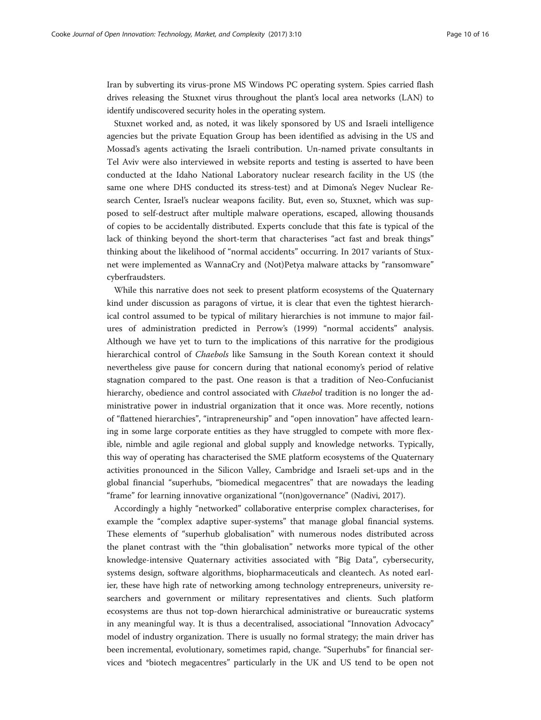Iran by subverting its virus-prone MS Windows PC operating system. Spies carried flash drives releasing the Stuxnet virus throughout the plant's local area networks (LAN) to identify undiscovered security holes in the operating system.

Stuxnet worked and, as noted, it was likely sponsored by US and Israeli intelligence agencies but the private Equation Group has been identified as advising in the US and Mossad's agents activating the Israeli contribution. Un-named private consultants in Tel Aviv were also interviewed in website reports and testing is asserted to have been conducted at the Idaho National Laboratory nuclear research facility in the US (the same one where DHS conducted its stress-test) and at Dimona's Negev Nuclear Research Center, Israel's nuclear weapons facility. But, even so, Stuxnet, which was supposed to self-destruct after multiple malware operations, escaped, allowing thousands of copies to be accidentally distributed. Experts conclude that this fate is typical of the lack of thinking beyond the short-term that characterises "act fast and break things" thinking about the likelihood of "normal accidents" occurring. In 2017 variants of Stuxnet were implemented as WannaCry and (Not)Petya malware attacks by "ransomware" cyberfraudsters.

While this narrative does not seek to present platform ecosystems of the Quaternary kind under discussion as paragons of virtue, it is clear that even the tightest hierarchical control assumed to be typical of military hierarchies is not immune to major failures of administration predicted in Perrow's ([1999](#page-15-0)) "normal accidents" analysis. Although we have yet to turn to the implications of this narrative for the prodigious hierarchical control of Chaebols like Samsung in the South Korean context it should nevertheless give pause for concern during that national economy's period of relative stagnation compared to the past. One reason is that a tradition of Neo-Confucianist hierarchy, obedience and control associated with *Chaebol* tradition is no longer the administrative power in industrial organization that it once was. More recently, notions of "flattened hierarchies", "intrapreneurship" and "open innovation" have affected learning in some large corporate entities as they have struggled to compete with more flexible, nimble and agile regional and global supply and knowledge networks. Typically, this way of operating has characterised the SME platform ecosystems of the Quaternary activities pronounced in the Silicon Valley, Cambridge and Israeli set-ups and in the global financial "superhubs, "biomedical megacentres" that are nowadays the leading "frame" for learning innovative organizational "(non)governance" (Nadivi, [2017](#page-15-0)).

Accordingly a highly "networked" collaborative enterprise complex characterises, for example the "complex adaptive super-systems" that manage global financial systems. These elements of "superhub globalisation" with numerous nodes distributed across the planet contrast with the "thin globalisation" networks more typical of the other knowledge-intensive Quaternary activities associated with "Big Data", cybersecurity, systems design, software algorithms, biopharmaceuticals and cleantech. As noted earlier, these have high rate of networking among technology entrepreneurs, university researchers and government or military representatives and clients. Such platform ecosystems are thus not top-down hierarchical administrative or bureaucratic systems in any meaningful way. It is thus a decentralised, associational "Innovation Advocacy" model of industry organization. There is usually no formal strategy; the main driver has been incremental, evolutionary, sometimes rapid, change. "Superhubs" for financial services and \*biotech megacentres" particularly in the UK and US tend to be open not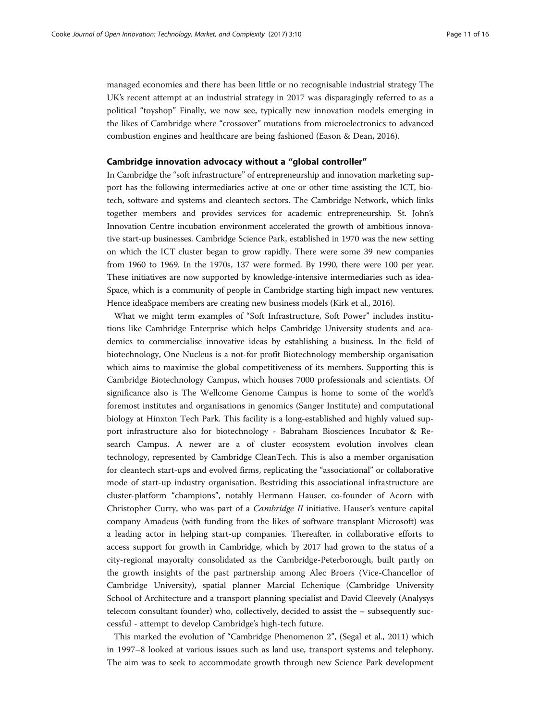managed economies and there has been little or no recognisable industrial strategy The UK's recent attempt at an industrial strategy in 2017 was disparagingly referred to as a political "toyshop" Finally, we now see, typically new innovation models emerging in the likes of Cambridge where "crossover" mutations from microelectronics to advanced combustion engines and healthcare are being fashioned (Eason & Dean, [2016\)](#page-14-0).

### Cambridge innovation advocacy without a "global controller"

In Cambridge the "soft infrastructure" of entrepreneurship and innovation marketing support has the following intermediaries active at one or other time assisting the ICT, biotech, software and systems and cleantech sectors. The Cambridge Network, which links together members and provides services for academic entrepreneurship. St. John's Innovation Centre incubation environment accelerated the growth of ambitious innovative start-up businesses. Cambridge Science Park, established in 1970 was the new setting on which the ICT cluster began to grow rapidly. There were some 39 new companies from 1960 to 1969. In the 1970s, 137 were formed. By 1990, there were 100 per year. These initiatives are now supported by knowledge-intensive intermediaries such as idea-Space, which is a community of people in Cambridge starting high impact new ventures. Hence ideaSpace members are creating new business models (Kirk et al., [2016\)](#page-15-0).

What we might term examples of "Soft Infrastructure, Soft Power" includes institutions like Cambridge Enterprise which helps Cambridge University students and academics to commercialise innovative ideas by establishing a business. In the field of biotechnology, One Nucleus is a not-for profit Biotechnology membership organisation which aims to maximise the global competitiveness of its members. Supporting this is Cambridge Biotechnology Campus, which houses 7000 professionals and scientists. Of significance also is The Wellcome Genome Campus is home to some of the world's foremost institutes and organisations in genomics (Sanger Institute) and computational biology at Hinxton Tech Park. This facility is a long-established and highly valued support infrastructure also for biotechnology - Babraham Biosciences Incubator & Research Campus. A newer are a of cluster ecosystem evolution involves clean technology, represented by Cambridge CleanTech. This is also a member organisation for cleantech start-ups and evolved firms, replicating the "associational" or collaborative mode of start-up industry organisation. Bestriding this associational infrastructure are cluster-platform "champions", notably Hermann Hauser, co-founder of Acorn with Christopher Curry, who was part of a Cambridge II initiative. Hauser's venture capital company Amadeus (with funding from the likes of software transplant Microsoft) was a leading actor in helping start-up companies. Thereafter, in collaborative efforts to access support for growth in Cambridge, which by 2017 had grown to the status of a city-regional mayoralty consolidated as the Cambridge-Peterborough, built partly on the growth insights of the past partnership among Alec Broers (Vice-Chancellor of Cambridge University), spatial planner Marcial Echenique (Cambridge University School of Architecture and a transport planning specialist and David Cleevely (Analysys telecom consultant founder) who, collectively, decided to assist the – subsequently successful - attempt to develop Cambridge's high-tech future.

This marked the evolution of "Cambridge Phenomenon 2", (Segal et al., [2011\)](#page-15-0) which in 1997–8 looked at various issues such as land use, transport systems and telephony. The aim was to seek to accommodate growth through new Science Park development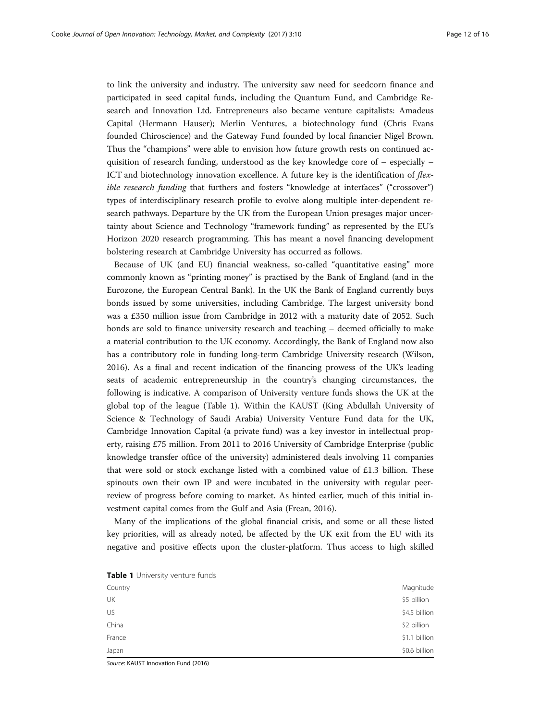to link the university and industry. The university saw need for seedcorn finance and participated in seed capital funds, including the Quantum Fund, and Cambridge Research and Innovation Ltd. Entrepreneurs also became venture capitalists: Amadeus Capital (Hermann Hauser); Merlin Ventures, a biotechnology fund (Chris Evans founded Chiroscience) and the Gateway Fund founded by local financier Nigel Brown. Thus the "champions" were able to envision how future growth rests on continued acquisition of research funding, understood as the key knowledge core of – especially – ICT and biotechnology innovation excellence. A future key is the identification of *flex*ible research funding that furthers and fosters "knowledge at interfaces" ("crossover") types of interdisciplinary research profile to evolve along multiple inter-dependent research pathways. Departure by the UK from the European Union presages major uncertainty about Science and Technology "framework funding" as represented by the EU's Horizon 2020 research programming. This has meant a novel financing development bolstering research at Cambridge University has occurred as follows.

Because of UK (and EU) financial weakness, so-called "quantitative easing" more commonly known as "printing money" is practised by the Bank of England (and in the Eurozone, the European Central Bank). In the UK the Bank of England currently buys bonds issued by some universities, including Cambridge. The largest university bond was a £350 million issue from Cambridge in 2012 with a maturity date of 2052. Such bonds are sold to finance university research and teaching – deemed officially to make a material contribution to the UK economy. Accordingly, the Bank of England now also has a contributory role in funding long-term Cambridge University research (Wilson, [2016](#page-15-0)). As a final and recent indication of the financing prowess of the UK's leading seats of academic entrepreneurship in the country's changing circumstances, the following is indicative. A comparison of University venture funds shows the UK at the global top of the league (Table 1). Within the KAUST (King Abdullah University of Science & Technology of Saudi Arabia) University Venture Fund data for the UK, Cambridge Innovation Capital (a private fund) was a key investor in intellectual property, raising £75 million. From 2011 to 2016 University of Cambridge Enterprise (public knowledge transfer office of the university) administered deals involving 11 companies that were sold or stock exchange listed with a combined value of  $£1.3$  billion. These spinouts own their own IP and were incubated in the university with regular peerreview of progress before coming to market. As hinted earlier, much of this initial investment capital comes from the Gulf and Asia (Frean, [2016](#page-14-0)).

Many of the implications of the global financial crisis, and some or all these listed key priorities, will as already noted, be affected by the UK exit from the EU with its negative and positive effects upon the cluster-platform. Thus access to high skilled

| Country | Magnitude     |
|---------|---------------|
| UK      | \$5 billion   |
| US      | \$4.5 billion |
| China   | \$2 billion   |
| France  | \$1.1 billion |
| Japan   | \$0.6 billion |

Table 1 University venture funds

Source: KAUST Innovation Fund (2016)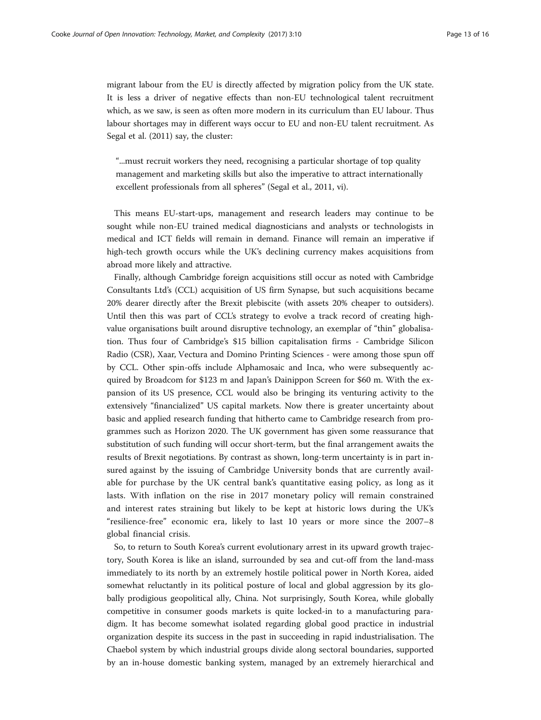migrant labour from the EU is directly affected by migration policy from the UK state. It is less a driver of negative effects than non-EU technological talent recruitment which, as we saw, is seen as often more modern in its curriculum than EU labour. Thus labour shortages may in different ways occur to EU and non-EU talent recruitment. As Segal et al. [\(2011\)](#page-15-0) say, the cluster:

"...must recruit workers they need, recognising a particular shortage of top quality management and marketing skills but also the imperative to attract internationally excellent professionals from all spheres" (Segal et al., [2011,](#page-15-0) vi).

This means EU-start-ups, management and research leaders may continue to be sought while non-EU trained medical diagnosticians and analysts or technologists in medical and ICT fields will remain in demand. Finance will remain an imperative if high-tech growth occurs while the UK's declining currency makes acquisitions from abroad more likely and attractive.

Finally, although Cambridge foreign acquisitions still occur as noted with Cambridge Consultants Ltd's (CCL) acquisition of US firm Synapse, but such acquisitions became 20% dearer directly after the Brexit plebiscite (with assets 20% cheaper to outsiders). Until then this was part of CCL's strategy to evolve a track record of creating highvalue organisations built around disruptive technology, an exemplar of "thin" globalisation. Thus four of Cambridge's \$15 billion capitalisation firms - Cambridge Silicon Radio (CSR), Xaar, Vectura and Domino Printing Sciences - were among those spun off by CCL. Other spin-offs include Alphamosaic and Inca, who were subsequently acquired by Broadcom for \$123 m and Japan's Dainippon Screen for \$60 m. With the expansion of its US presence, CCL would also be bringing its venturing activity to the extensively "financialized" US capital markets. Now there is greater uncertainty about basic and applied research funding that hitherto came to Cambridge research from programmes such as Horizon 2020. The UK government has given some reassurance that substitution of such funding will occur short-term, but the final arrangement awaits the results of Brexit negotiations. By contrast as shown, long-term uncertainty is in part insured against by the issuing of Cambridge University bonds that are currently available for purchase by the UK central bank's quantitative easing policy, as long as it lasts. With inflation on the rise in 2017 monetary policy will remain constrained and interest rates straining but likely to be kept at historic lows during the UK's "resilience-free" economic era, likely to last 10 years or more since the 2007–8 global financial crisis.

So, to return to South Korea's current evolutionary arrest in its upward growth trajectory, South Korea is like an island, surrounded by sea and cut-off from the land-mass immediately to its north by an extremely hostile political power in North Korea, aided somewhat reluctantly in its political posture of local and global aggression by its globally prodigious geopolitical ally, China. Not surprisingly, South Korea, while globally competitive in consumer goods markets is quite locked-in to a manufacturing paradigm. It has become somewhat isolated regarding global good practice in industrial organization despite its success in the past in succeeding in rapid industrialisation. The Chaebol system by which industrial groups divide along sectoral boundaries, supported by an in-house domestic banking system, managed by an extremely hierarchical and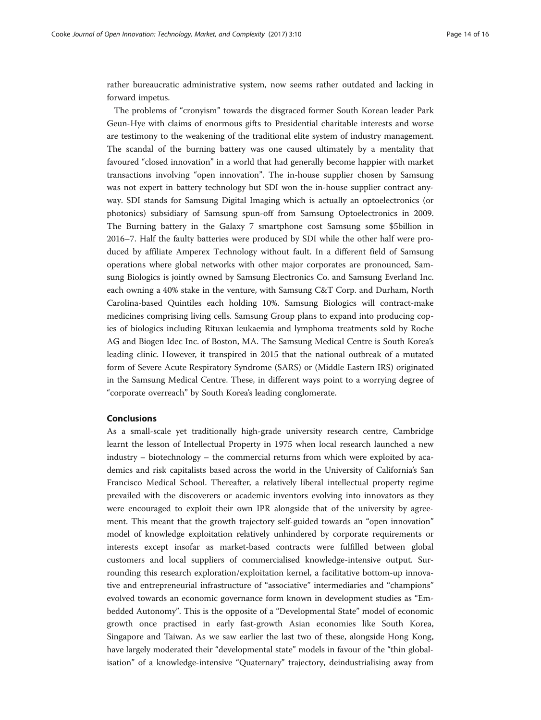rather bureaucratic administrative system, now seems rather outdated and lacking in forward impetus.

The problems of "cronyism" towards the disgraced former South Korean leader Park Geun-Hye with claims of enormous gifts to Presidential charitable interests and worse are testimony to the weakening of the traditional elite system of industry management. The scandal of the burning battery was one caused ultimately by a mentality that favoured "closed innovation" in a world that had generally become happier with market transactions involving "open innovation". The in-house supplier chosen by Samsung was not expert in battery technology but SDI won the in-house supplier contract anyway. SDI stands for Samsung Digital Imaging which is actually an optoelectronics (or photonics) subsidiary of Samsung spun-off from Samsung Optoelectronics in 2009. The Burning battery in the Galaxy 7 smartphone cost Samsung some \$5billion in 2016–7. Half the faulty batteries were produced by SDI while the other half were produced by affiliate Amperex Technology without fault. In a different field of Samsung operations where global networks with other major corporates are pronounced, Samsung Biologics is jointly owned by Samsung Electronics Co. and Samsung Everland Inc. each owning a 40% stake in the venture, with Samsung C&T Corp. and Durham, North Carolina-based Quintiles each holding 10%. Samsung Biologics will contract-make medicines comprising living cells. Samsung Group plans to expand into producing copies of biologics including Rituxan leukaemia and lymphoma treatments sold by Roche AG and Biogen Idec Inc. of Boston, MA. The Samsung Medical Centre is South Korea's leading clinic. However, it transpired in 2015 that the national outbreak of a mutated form of Severe Acute Respiratory Syndrome (SARS) or (Middle Eastern IRS) originated in the Samsung Medical Centre. These, in different ways point to a worrying degree of "corporate overreach" by South Korea's leading conglomerate.

## Conclusions

As a small-scale yet traditionally high-grade university research centre, Cambridge learnt the lesson of Intellectual Property in 1975 when local research launched a new industry – biotechnology – the commercial returns from which were exploited by academics and risk capitalists based across the world in the University of California's San Francisco Medical School. Thereafter, a relatively liberal intellectual property regime prevailed with the discoverers or academic inventors evolving into innovators as they were encouraged to exploit their own IPR alongside that of the university by agreement. This meant that the growth trajectory self-guided towards an "open innovation" model of knowledge exploitation relatively unhindered by corporate requirements or interests except insofar as market-based contracts were fulfilled between global customers and local suppliers of commercialised knowledge-intensive output. Surrounding this research exploration/exploitation kernel, a facilitative bottom-up innovative and entrepreneurial infrastructure of "associative" intermediaries and "champions" evolved towards an economic governance form known in development studies as "Embedded Autonomy". This is the opposite of a "Developmental State" model of economic growth once practised in early fast-growth Asian economies like South Korea, Singapore and Taiwan. As we saw earlier the last two of these, alongside Hong Kong, have largely moderated their "developmental state" models in favour of the "thin globalisation" of a knowledge-intensive "Quaternary" trajectory, deindustrialising away from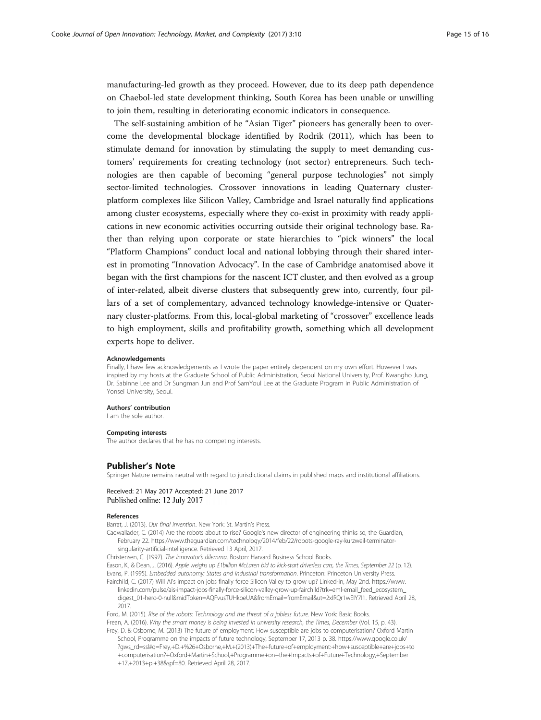<span id="page-14-0"></span>manufacturing-led growth as they proceed. However, due to its deep path dependence on Chaebol-led state development thinking, South Korea has been unable or unwilling to join them, resulting in deteriorating economic indicators in consequence.

The self-sustaining ambition of he "Asian Tiger" pioneers has generally been to overcome the developmental blockage identified by Rodrik ([2011\)](#page-15-0), which has been to stimulate demand for innovation by stimulating the supply to meet demanding customers' requirements for creating technology (not sector) entrepreneurs. Such technologies are then capable of becoming "general purpose technologies" not simply sector-limited technologies. Crossover innovations in leading Quaternary clusterplatform complexes like Silicon Valley, Cambridge and Israel naturally find applications among cluster ecosystems, especially where they co-exist in proximity with ready applications in new economic activities occurring outside their original technology base. Rather than relying upon corporate or state hierarchies to "pick winners" the local "Platform Champions" conduct local and national lobbying through their shared interest in promoting "Innovation Advocacy". In the case of Cambridge anatomised above it began with the first champions for the nascent ICT cluster, and then evolved as a group of inter-related, albeit diverse clusters that subsequently grew into, currently, four pillars of a set of complementary, advanced technology knowledge-intensive or Quaternary cluster-platforms. From this, local-global marketing of "crossover" excellence leads to high employment, skills and profitability growth, something which all development experts hope to deliver.

#### Acknowledgements

Finally, I have few acknowledgements as I wrote the paper entirely dependent on my own effort. However I was inspired by my hosts at the Graduate School of Public Administration, Seoul National University, Prof. Kwangho Jung, Dr. Sabinne Lee and Dr Sungman Jun and Prof SamYoul Lee at the Graduate Program in Public Administration of Yonsei University, Seoul.

#### Authors' contribution

I am the sole author.

#### Competing interests

The author declares that he has no competing interests.

#### Publisher's Note

Springer Nature remains neutral with regard to jurisdictional claims in published maps and institutional affiliations.

Received: 21 May 2017 Accepted: 21 June 2017 Published online: 12 July 2017

#### References

Barrat, J. (2013). Our final invention. New York: St. Martin's Press.

Cadwallader, C. (2014) Are the robots about to rise? Google's new director of engineering thinks so, the Guardian, February 22. [https://www.theguardian.com/technology/2014/feb/22/robots-google-ray-kurzweil-terminator](https://www.theguardian.com/technology/2014/feb/22/robots-google-ray-kurzweil-terminator-singularity-artificial-intelligence)[singularity-artificial-intelligence](https://www.theguardian.com/technology/2014/feb/22/robots-google-ray-kurzweil-terminator-singularity-artificial-intelligence). Retrieved 13 April, 2017.

Christensen, C. (1997). The Innovator's dilemma. Boston: Harvard Business School Books.

Eason, K., & Dean, J. (2016). Apple weighs up £1billion McLaren bid to kick-start driverless cars, the Times, September 22 (p. 12). Evans, P. (1995). Embedded autonomy: States and industrial transformation. Princeton: Princeton University Press. Fairchild, C. (2017) Will AI's impact on jobs finally force Silicon Valley to grow up? Linked-in, May 2nd. [https://www.](https://www.linkedin.com/pulse/ais-impact-jobs-finally-force-silicon-valley-grow-up-fairchild?trk=eml-email_feed_ecosystem_digest_01-hero-0-null&midToken=AQFvusTUHkoeUA&fromEmail=fromEmail&ut=2xIRQr1wEIY7I1)

[linkedin.com/pulse/ais-impact-jobs-finally-force-silicon-valley-grow-up-fairchild?trk=eml-email\\_feed\\_ecosystem\\_](https://www.linkedin.com/pulse/ais-impact-jobs-finally-force-silicon-valley-grow-up-fairchild?trk=eml-email_feed_ecosystem_digest_01-hero-0-null&midToken=AQFvusTUHkoeUA&fromEmail=fromEmail&ut=2xIRQr1wEIY7I1) [digest\\_01-hero-0-null&midToken=AQFvusTUHkoeUA&fromEmail=fromEmail&ut=2xIRQr1wEIY7I1.](https://www.linkedin.com/pulse/ais-impact-jobs-finally-force-silicon-valley-grow-up-fairchild?trk=eml-email_feed_ecosystem_digest_01-hero-0-null&midToken=AQFvusTUHkoeUA&fromEmail=fromEmail&ut=2xIRQr1wEIY7I1) Retrieved April 28, 2017.

Ford, M. (2015). Rise of the robots: Technology and the threat of a jobless future. New York: Basic Books. Frean, A. (2016). Why the smart money is being invested in university research, the Times, December (Vol. 15, p. 43). Frey, D. & Osborne, M. (2013) The future of employment: How susceptible are jobs to computerisation? Oxford Martin

School, Programme on the impacts of future technology, September 17, 2013 p. 38. [https://www.google.co.uk/](https://www.google.co.uk/?gws_rd=ssl#q=Frey,+D.+%26+Osborne,+M.+(2013)+The+future+of+employment:+how+susceptible+are+jobs+to+computerisation?+Oxford+Martin+School,+Programme+on+the+Impacts+of+Future+Technology,+September+17,+2013+p.+38&spf=80) [?gws\\_rd=ssl#q=Frey,+D.+%26+Osborne,+M.+\(2013\)+The+future+of+employment:+how+susceptible+are+jobs+to](https://www.google.co.uk/?gws_rd=ssl#q=Frey,+D.+%26+Osborne,+M.+(2013)+The+future+of+employment:+how+susceptible+are+jobs+to+computerisation?+Oxford+Martin+School,+Programme+on+the+Impacts+of+Future+Technology,+September+17,+2013+p.+38&spf=80) [+computerisation?+Oxford+Martin+School,+Programme+on+the+Impacts+of+Future+Technology,+September](https://www.google.co.uk/?gws_rd=ssl#q=Frey,+D.+%26+Osborne,+M.+(2013)+The+future+of+employment:+how+susceptible+are+jobs+to+computerisation?+Oxford+Martin+School,+Programme+on+the+Impacts+of+Future+Technology,+September+17,+2013+p.+38&spf=80) [+17,+2013+p.+38&spf=80](https://www.google.co.uk/?gws_rd=ssl#q=Frey,+D.+%26+Osborne,+M.+(2013)+The+future+of+employment:+how+susceptible+are+jobs+to+computerisation?+Oxford+Martin+School,+Programme+on+the+Impacts+of+Future+Technology,+September+17,+2013+p.+38&spf=80). Retrieved April 28, 2017.